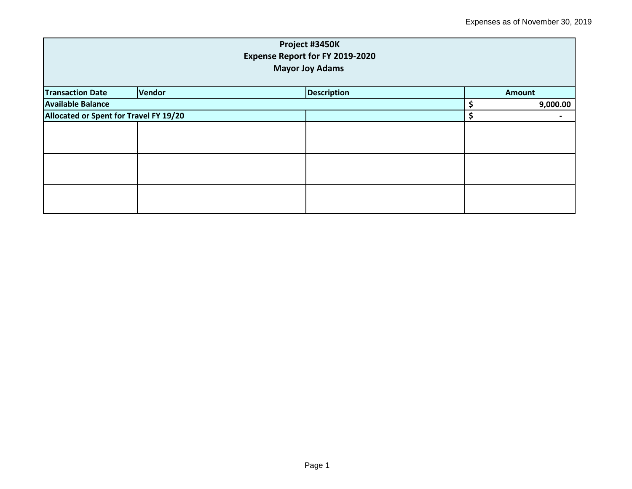| Project #3450K<br><b>Expense Report for FY 2019-2020</b> |        |                    |    |          |  |
|----------------------------------------------------------|--------|--------------------|----|----------|--|
| <b>Mayor Joy Adams</b>                                   |        |                    |    |          |  |
| <b>Transaction Date</b>                                  | Vendor | <b>Description</b> |    | Amount   |  |
| <b>Available Balance</b>                                 |        |                    |    | 9,000.00 |  |
| Allocated or Spent for Travel FY 19/20                   |        |                    | \$ |          |  |
|                                                          |        |                    |    |          |  |
|                                                          |        |                    |    |          |  |
|                                                          |        |                    |    |          |  |
|                                                          |        |                    |    |          |  |
|                                                          |        |                    |    |          |  |
|                                                          |        |                    |    |          |  |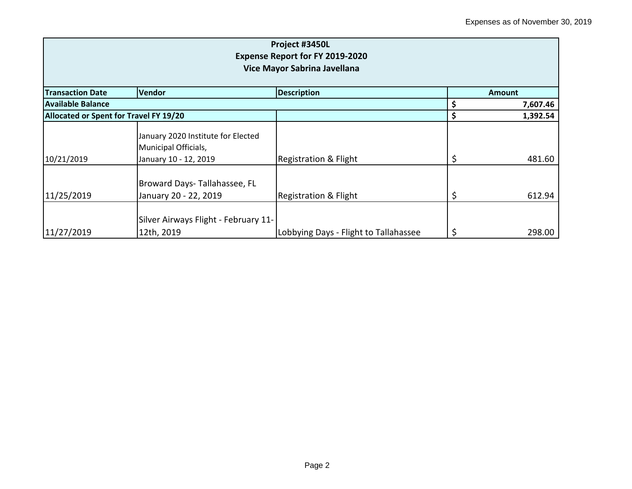| Project #3450L<br><b>Expense Report for FY 2019-2020</b><br>Vice Mayor Sabrina Javellana |                                                                                     |                                       |               |          |  |
|------------------------------------------------------------------------------------------|-------------------------------------------------------------------------------------|---------------------------------------|---------------|----------|--|
| <b>Transaction Date</b>                                                                  | <b>Vendor</b>                                                                       | <b>Description</b>                    | <b>Amount</b> |          |  |
| <b>Available Balance</b>                                                                 |                                                                                     |                                       |               | 7,607.46 |  |
| Allocated or Spent for Travel FY 19/20                                                   |                                                                                     |                                       | \$            | 1,392.54 |  |
| 10/21/2019                                                                               | January 2020 Institute for Elected<br>Municipal Officials,<br>January 10 - 12, 2019 | <b>Registration &amp; Flight</b>      | \$            | 481.60   |  |
| 11/25/2019                                                                               | Broward Days-Tallahassee, FL<br>January 20 - 22, 2019                               | <b>Registration &amp; Flight</b>      | \$            | 612.94   |  |
| 11/27/2019                                                                               | Silver Airways Flight - February 11-<br>12th, 2019                                  | Lobbying Days - Flight to Tallahassee | \$            | 298.00   |  |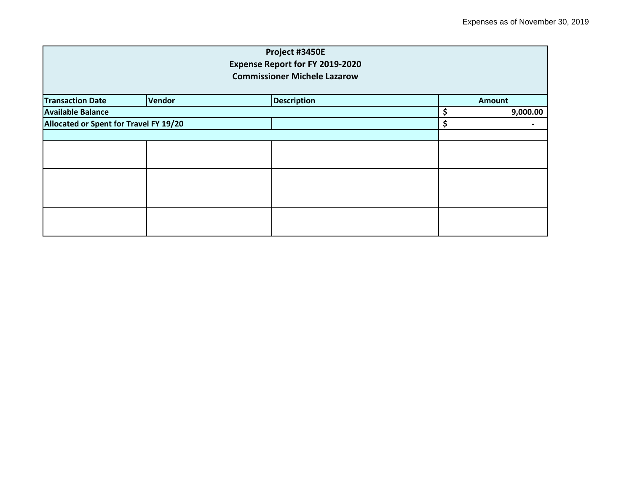|                                        |               | Project #3450E                         |                |
|----------------------------------------|---------------|----------------------------------------|----------------|
|                                        |               | <b>Expense Report for FY 2019-2020</b> |                |
|                                        |               | <b>Commissioner Michele Lazarow</b>    |                |
| <b>Transaction Date</b>                | <b>Vendor</b> | <b>Description</b>                     | <b>Amount</b>  |
|                                        |               |                                        |                |
| <b>Available Balance</b>               |               |                                        | \$<br>9,000.00 |
| Allocated or Spent for Travel FY 19/20 |               |                                        | \$             |
|                                        |               |                                        |                |
|                                        |               |                                        |                |
|                                        |               |                                        |                |
|                                        |               |                                        |                |
|                                        |               |                                        |                |
|                                        |               |                                        |                |
|                                        |               |                                        |                |
|                                        |               |                                        |                |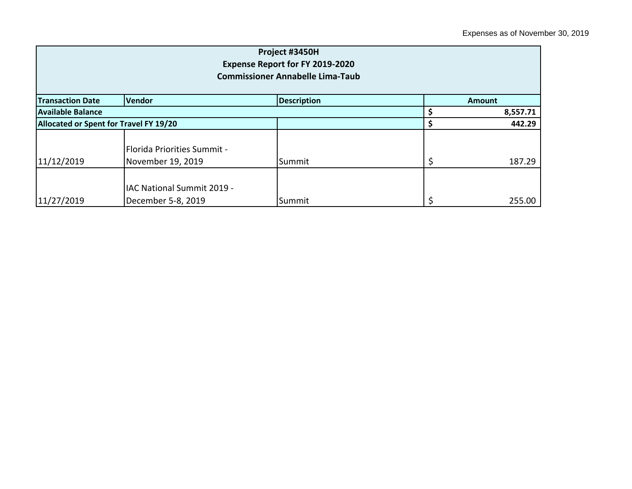| Project #3450H<br>Expense Report for FY 2019-2020<br><b>Commissioner Annabelle Lima-Taub</b> |                                                    |                    |   |               |  |  |
|----------------------------------------------------------------------------------------------|----------------------------------------------------|--------------------|---|---------------|--|--|
| <b>Transaction Date</b>                                                                      | Vendor                                             | <b>Description</b> |   | <b>Amount</b> |  |  |
| Available Balance                                                                            |                                                    |                    |   | 8,557.71      |  |  |
| Allocated or Spent for Travel FY 19/20                                                       |                                                    |                    |   | 442.29        |  |  |
| 11/12/2019                                                                                   | l Florida Priorities Summit -<br>November 19, 2019 | Summit             | Ś | 187.29        |  |  |
| 11/27/2019                                                                                   | IAC National Summit 2019 -<br>December 5-8, 2019   | Summit             |   | 255.00        |  |  |